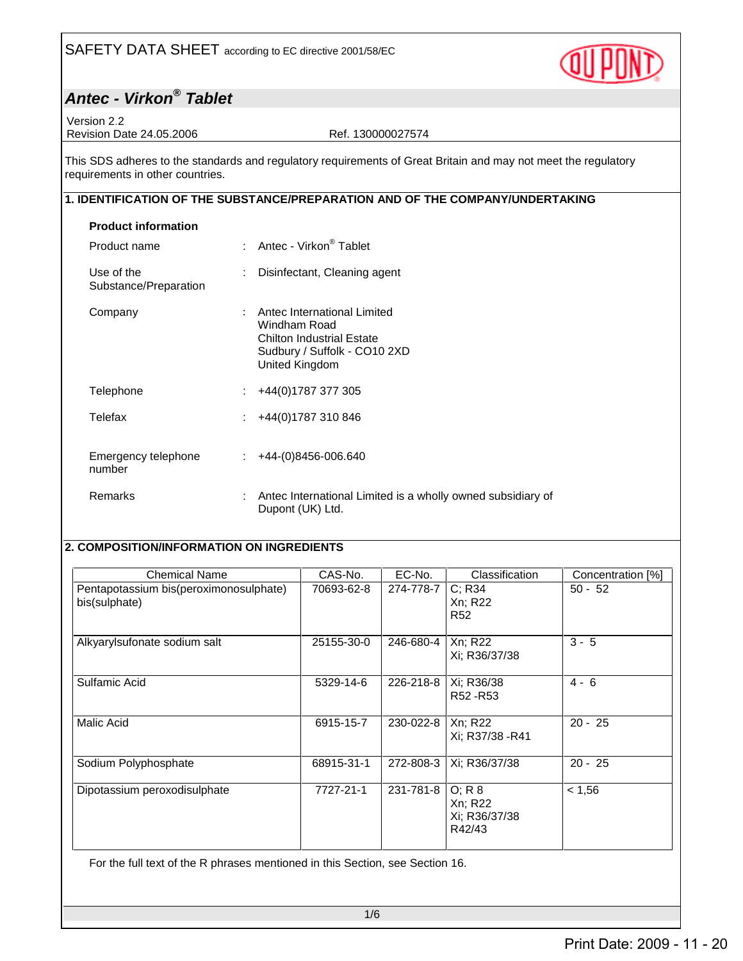

## **Antec - Virkon® Tablet**

Version 2.2 Revision Date 24.05.2006 Ref. 130000027574

This SDS adheres to the standards and regulatory requirements of Great Britain and may not meet the regulatory requirements in other countries.

#### **1. IDENTIFICATION OF THE SUBSTANCE/PREPARATION AND OF THE COMPANY/UNDERTAKING**

| <b>Product information</b>          |   |                                                                                                                                   |
|-------------------------------------|---|-----------------------------------------------------------------------------------------------------------------------------------|
| Product name                        |   | : Antec - Virkon <sup>®</sup> Tablet                                                                                              |
| Use of the<br>Substance/Preparation |   | Disinfectant, Cleaning agent                                                                                                      |
| Company                             |   | Antec International Limited<br>Windham Road<br><b>Chilton Industrial Estate</b><br>Sudbury / Suffolk - CO10 2XD<br>United Kingdom |
| Telephone                           | ÷ | +44(0)1787 377 305                                                                                                                |
| Telefax                             | ÷ | +44(0)1787 310 846                                                                                                                |
| Emergency telephone<br>number       |   | $\div$ +44-(0)8456-006.640                                                                                                        |
| Remarks                             |   | Antec International Limited is a wholly owned subsidiary of<br>Dupont (UK) Ltd.                                                   |

### **2. COMPOSITION/INFORMATION ON INGREDIENTS**

| <b>Chemical Name</b>                                    | CAS-No.    | EC-No.    | Classification                                 | Concentration [%] |
|---------------------------------------------------------|------------|-----------|------------------------------------------------|-------------------|
| Pentapotassium bis(peroximonosulphate)<br>bis(sulphate) | 70693-62-8 | 274-778-7 | C; R34<br>Xn: R22<br>R <sub>52</sub>           | $50 - 52$         |
| Alkyarylsufonate sodium salt                            | 25155-30-0 | 246-680-4 | Xn; R22<br>Xi; R36/37/38                       | $3 - 5$           |
| Sulfamic Acid                                           | 5329-14-6  | 226-218-8 | Xi; R36/38<br>R <sub>52</sub> -R <sub>53</sub> | $4 - 6$           |
| Malic Acid                                              | 6915-15-7  | 230-022-8 | Xn; R22<br>Xi: R37/38 - R41                    | $20 - 25$         |
| Sodium Polyphosphate                                    | 68915-31-1 | 272-808-3 | Xi; R36/37/38                                  | $20 - 25$         |
| Dipotassium peroxodisulphate                            | 7727-21-1  | 231-781-8 | O; R 8<br>Xn; R22<br>Xi: R36/37/38<br>R42/43   | < 1,56            |

For the full text of the R phrases mentioned in this Section, see Section 16.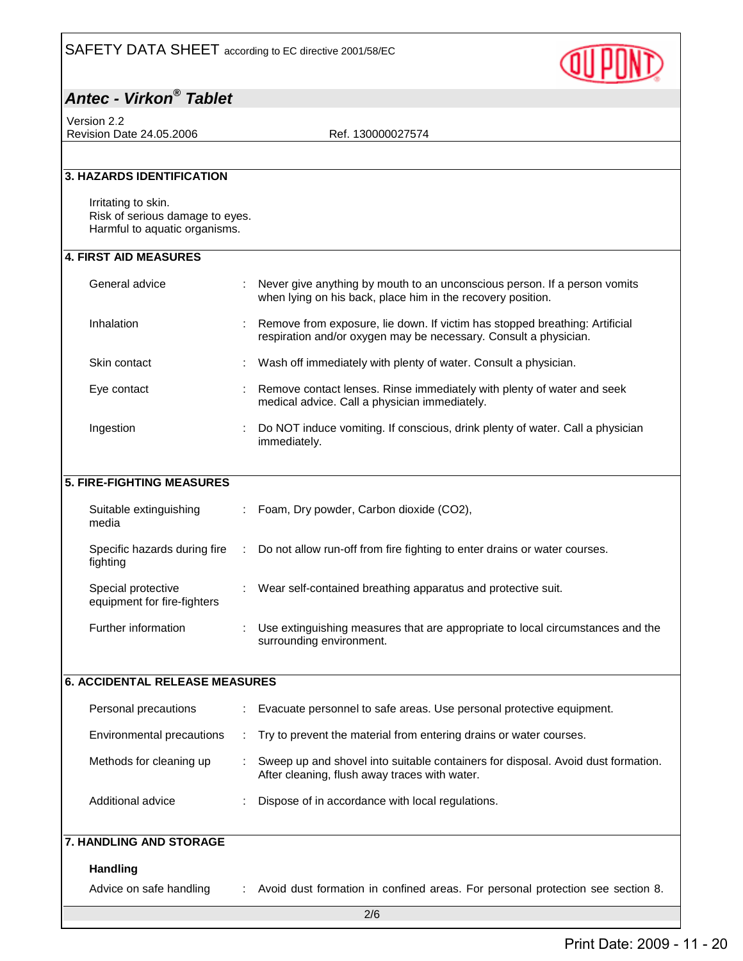

## **Antec - Virkon® Tablet**

Version 2.2 Revision Date 24.05.2006 Ref. 130000027574

| <b>3. HAZARDS IDENTIFICATION</b>                                                        |  |                                                                                                                                                 |  |  |
|-----------------------------------------------------------------------------------------|--|-------------------------------------------------------------------------------------------------------------------------------------------------|--|--|
| Irritating to skin.<br>Risk of serious damage to eyes.<br>Harmful to aquatic organisms. |  |                                                                                                                                                 |  |  |
| <b>4. FIRST AID MEASURES</b>                                                            |  |                                                                                                                                                 |  |  |
| General advice                                                                          |  | Never give anything by mouth to an unconscious person. If a person vomits<br>when lying on his back, place him in the recovery position.        |  |  |
| Inhalation                                                                              |  | Remove from exposure, lie down. If victim has stopped breathing: Artificial<br>respiration and/or oxygen may be necessary. Consult a physician. |  |  |
| Skin contact                                                                            |  | Wash off immediately with plenty of water. Consult a physician.                                                                                 |  |  |
| Eye contact                                                                             |  | Remove contact lenses. Rinse immediately with plenty of water and seek<br>medical advice. Call a physician immediately.                         |  |  |
| Ingestion                                                                               |  | Do NOT induce vomiting. If conscious, drink plenty of water. Call a physician<br>immediately.                                                   |  |  |
| <b>5. FIRE-FIGHTING MEASURES</b>                                                        |  |                                                                                                                                                 |  |  |
|                                                                                         |  |                                                                                                                                                 |  |  |
| Suitable extinguishing<br>media                                                         |  | Foam, Dry powder, Carbon dioxide (CO2),                                                                                                         |  |  |
| Specific hazards during fire<br>fighting                                                |  | Do not allow run-off from fire fighting to enter drains or water courses.                                                                       |  |  |
| Special protective<br>equipment for fire-fighters                                       |  | Wear self-contained breathing apparatus and protective suit.                                                                                    |  |  |
| Further information                                                                     |  | Use extinguishing measures that are appropriate to local circumstances and the<br>surrounding environment.                                      |  |  |
| <b>6. ACCIDENTAL RELEASE MEASURES</b>                                                   |  |                                                                                                                                                 |  |  |
| Personal precautions                                                                    |  | Evacuate personnel to safe areas. Use personal protective equipment.                                                                            |  |  |
| Environmental precautions                                                               |  | Try to prevent the material from entering drains or water courses.                                                                              |  |  |
| Methods for cleaning up                                                                 |  | Sweep up and shovel into suitable containers for disposal. Avoid dust formation.<br>After cleaning, flush away traces with water.               |  |  |
| Additional advice                                                                       |  | Dispose of in accordance with local regulations.                                                                                                |  |  |
| 7. HANDLING AND STORAGE                                                                 |  |                                                                                                                                                 |  |  |
| <b>Handling</b>                                                                         |  |                                                                                                                                                 |  |  |
| Advice on safe handling                                                                 |  | Avoid dust formation in confined areas. For personal protection see section 8.                                                                  |  |  |
| 2/6                                                                                     |  |                                                                                                                                                 |  |  |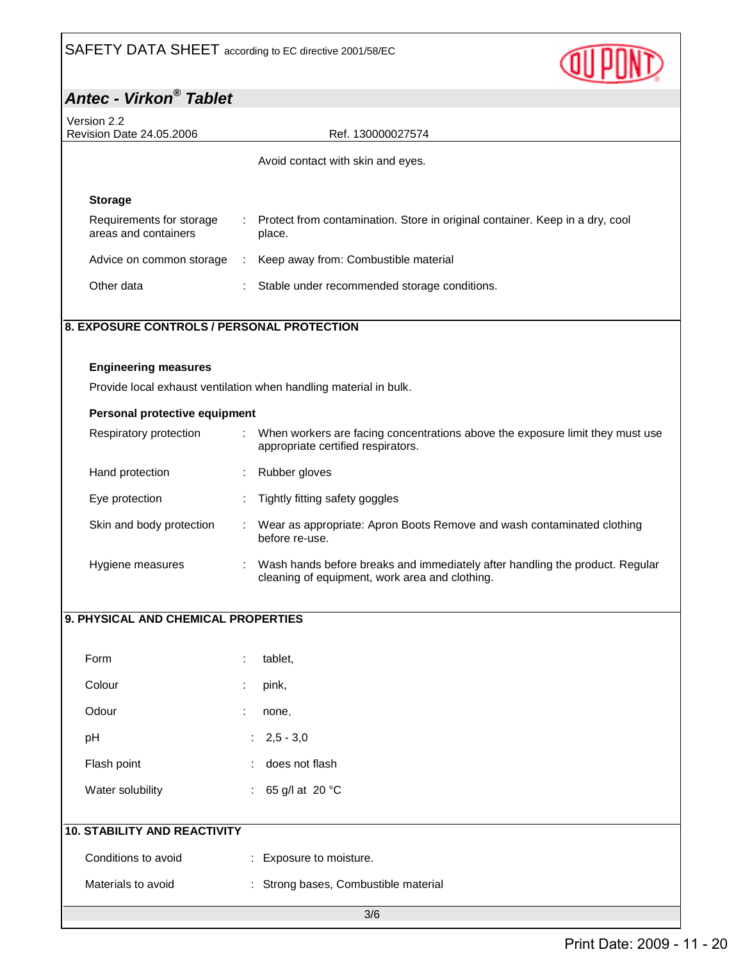

# **Antec - Virkon® Tablet**

| Version 2.2<br>Revision Date 24.05.2006<br>Ref. 130000027574 |                                                                                                                                |  |  |  |  |
|--------------------------------------------------------------|--------------------------------------------------------------------------------------------------------------------------------|--|--|--|--|
|                                                              | Avoid contact with skin and eyes.                                                                                              |  |  |  |  |
|                                                              |                                                                                                                                |  |  |  |  |
| <b>Storage</b>                                               |                                                                                                                                |  |  |  |  |
| Requirements for storage<br>areas and containers             | Protect from contamination. Store in original container. Keep in a dry, cool<br>place.                                         |  |  |  |  |
| Advice on common storage<br>÷                                | Keep away from: Combustible material                                                                                           |  |  |  |  |
| Other data                                                   | Stable under recommended storage conditions.                                                                                   |  |  |  |  |
| 8. EXPOSURE CONTROLS / PERSONAL PROTECTION                   |                                                                                                                                |  |  |  |  |
| <b>Engineering measures</b>                                  |                                                                                                                                |  |  |  |  |
|                                                              | Provide local exhaust ventilation when handling material in bulk.                                                              |  |  |  |  |
| Personal protective equipment                                |                                                                                                                                |  |  |  |  |
| Respiratory protection                                       | When workers are facing concentrations above the exposure limit they must use<br>appropriate certified respirators.            |  |  |  |  |
| Hand protection                                              | Rubber gloves                                                                                                                  |  |  |  |  |
| Eye protection                                               | Tightly fitting safety goggles                                                                                                 |  |  |  |  |
| Skin and body protection                                     | Wear as appropriate: Apron Boots Remove and wash contaminated clothing<br>before re-use.                                       |  |  |  |  |
| Hygiene measures                                             | Wash hands before breaks and immediately after handling the product. Regular<br>cleaning of equipment, work area and clothing. |  |  |  |  |
|                                                              |                                                                                                                                |  |  |  |  |
| 9. PHYSICAL AND CHEMICAL PROPERTIES                          |                                                                                                                                |  |  |  |  |
| Form                                                         | tablet,                                                                                                                        |  |  |  |  |
| Colour                                                       | pink,                                                                                                                          |  |  |  |  |
| Odour                                                        | none,                                                                                                                          |  |  |  |  |
| pH                                                           | $2,5 - 3,0$                                                                                                                    |  |  |  |  |
| Flash point                                                  | does not flash                                                                                                                 |  |  |  |  |
| Water solubility                                             | 65 g/l at 20 °C<br>t.                                                                                                          |  |  |  |  |
| <b>10. STABILITY AND REACTIVITY</b>                          |                                                                                                                                |  |  |  |  |
| Conditions to avoid                                          | : Exposure to moisture.                                                                                                        |  |  |  |  |
| Materials to avoid                                           | : Strong bases, Combustible material                                                                                           |  |  |  |  |
|                                                              |                                                                                                                                |  |  |  |  |

3/6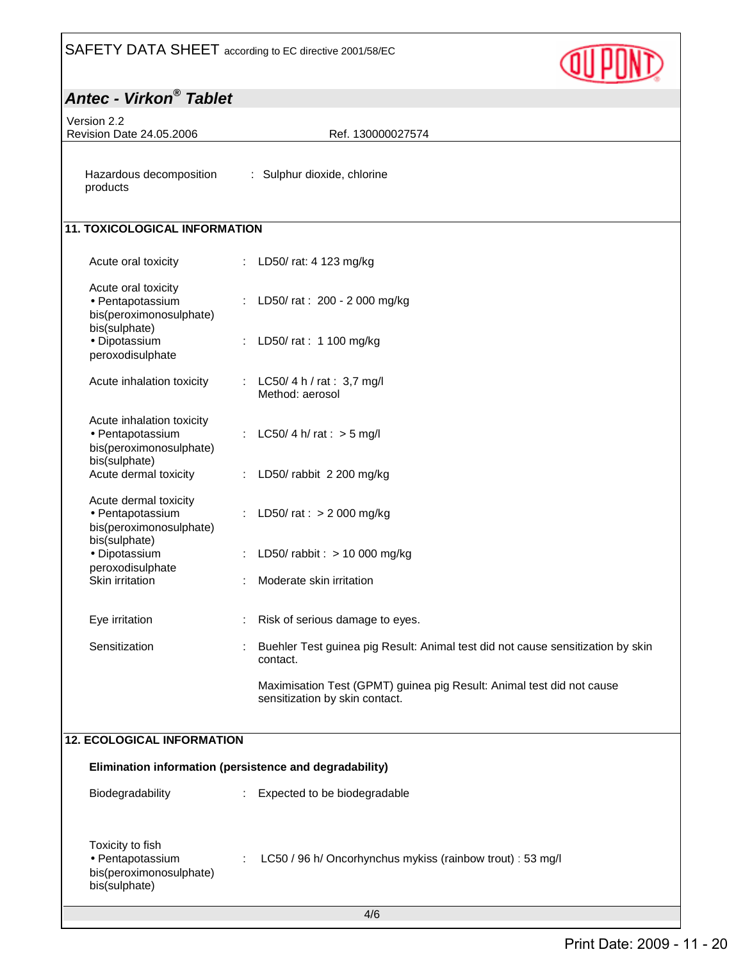

| <b>Antec - Virkon® Tablet</b>                                                             |                                                                                                         |  |  |  |
|-------------------------------------------------------------------------------------------|---------------------------------------------------------------------------------------------------------|--|--|--|
| Version 2.2<br>Revision Date 24.05.2006                                                   | Ref. 130000027574                                                                                       |  |  |  |
| Hazardous decomposition<br>products                                                       | : Sulphur dioxide, chlorine                                                                             |  |  |  |
| <b>11. TOXICOLOGICAL INFORMATION</b>                                                      |                                                                                                         |  |  |  |
| Acute oral toxicity                                                                       | : LD50/ rat: 4 123 mg/kg                                                                                |  |  |  |
| Acute oral toxicity<br>• Pentapotassium<br>bis(peroximonosulphate)<br>bis(sulphate)       | : LD50/ rat : 200 - 2 000 mg/kg                                                                         |  |  |  |
| · Dipotassium<br>peroxodisulphate                                                         | LD50/ rat: 1 100 mg/kg                                                                                  |  |  |  |
| Acute inhalation toxicity                                                                 | : LC50/4 h / rat : 3,7 mg/l<br>Method: aerosol                                                          |  |  |  |
| Acute inhalation toxicity<br>• Pentapotassium<br>bis(peroximonosulphate)<br>bis(sulphate) | : LC50/4 h/rat : $>$ 5 mg/l                                                                             |  |  |  |
| Acute dermal toxicity                                                                     | LD50/ rabbit 2 200 mg/kg                                                                                |  |  |  |
| Acute dermal toxicity<br>· Pentapotassium<br>bis(peroximonosulphate)<br>bis(sulphate)     | LD50/ rat : $> 2000$ mg/kg                                                                              |  |  |  |
| · Dipotassium                                                                             | LD50/rabbit: $> 10000$ mg/kg                                                                            |  |  |  |
| peroxodisulphate<br>Skin irritation                                                       | Moderate skin irritation                                                                                |  |  |  |
| Eye irritation                                                                            | Risk of serious damage to eyes.                                                                         |  |  |  |
| Sensitization                                                                             | Buehler Test guinea pig Result: Animal test did not cause sensitization by skin<br>contact.             |  |  |  |
|                                                                                           | Maximisation Test (GPMT) guinea pig Result: Animal test did not cause<br>sensitization by skin contact. |  |  |  |
| <b>12. ECOLOGICAL INFORMATION</b>                                                         |                                                                                                         |  |  |  |
| Elimination information (persistence and degradability)                                   |                                                                                                         |  |  |  |
| Biodegradability                                                                          | Expected to be biodegradable                                                                            |  |  |  |
| Toxicity to fish<br>· Pentapotassium<br>bis(peroximonosulphate)<br>bis(sulphate)          | LC50 / 96 h/ Oncorhynchus mykiss (rainbow trout) : 53 mg/l                                              |  |  |  |
| 4/6                                                                                       |                                                                                                         |  |  |  |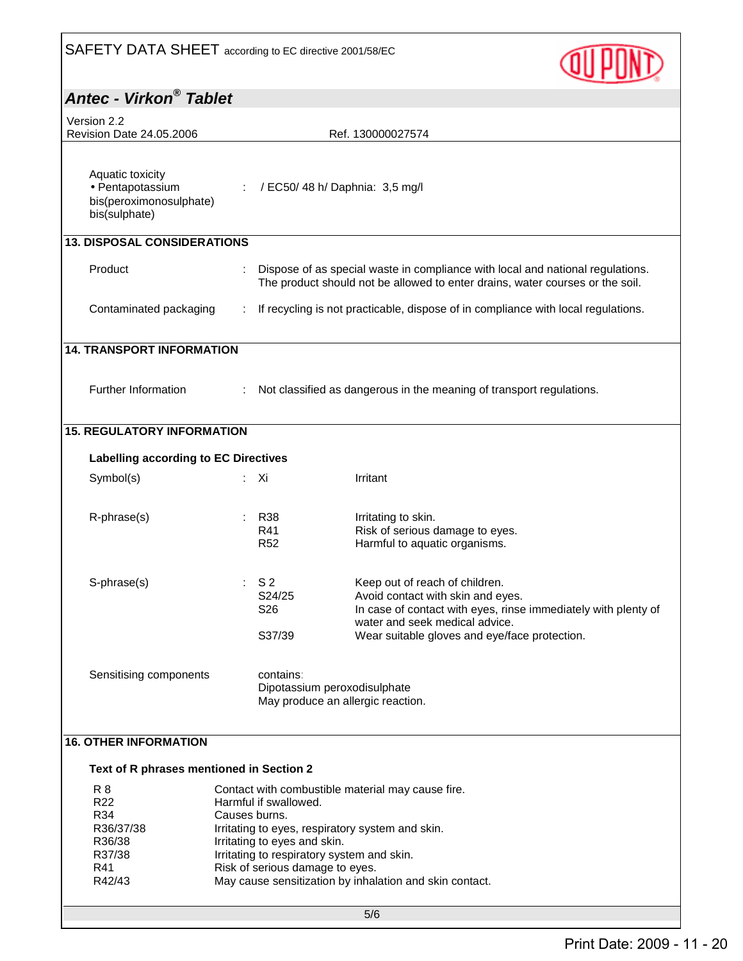

| Antec - Virkon® Tablet                                                                |                                                                                                                                                                                                                                                                                                                             |                                                                                                                                                                                                                          |  |  |  |
|---------------------------------------------------------------------------------------|-----------------------------------------------------------------------------------------------------------------------------------------------------------------------------------------------------------------------------------------------------------------------------------------------------------------------------|--------------------------------------------------------------------------------------------------------------------------------------------------------------------------------------------------------------------------|--|--|--|
| Version 2.2<br>Revision Date 24,05,2006<br>Ref. 130000027574                          |                                                                                                                                                                                                                                                                                                                             |                                                                                                                                                                                                                          |  |  |  |
| Aquatic toxicity<br>• Pentapotassium<br>bis(peroximonosulphate)<br>bis(sulphate)      |                                                                                                                                                                                                                                                                                                                             | / EC50/ 48 h/ Daphnia: 3,5 mg/l                                                                                                                                                                                          |  |  |  |
| <b>13. DISPOSAL CONSIDERATIONS</b>                                                    |                                                                                                                                                                                                                                                                                                                             |                                                                                                                                                                                                                          |  |  |  |
| Product                                                                               |                                                                                                                                                                                                                                                                                                                             | Dispose of as special waste in compliance with local and national regulations.<br>The product should not be allowed to enter drains, water courses or the soil.                                                          |  |  |  |
| Contaminated packaging                                                                |                                                                                                                                                                                                                                                                                                                             | If recycling is not practicable, dispose of in compliance with local regulations.                                                                                                                                        |  |  |  |
| <b>14. TRANSPORT INFORMATION</b>                                                      |                                                                                                                                                                                                                                                                                                                             |                                                                                                                                                                                                                          |  |  |  |
| Further Information                                                                   |                                                                                                                                                                                                                                                                                                                             | Not classified as dangerous in the meaning of transport regulations.                                                                                                                                                     |  |  |  |
| <b>15. REGULATORY INFORMATION</b>                                                     |                                                                                                                                                                                                                                                                                                                             |                                                                                                                                                                                                                          |  |  |  |
| Labelling according to EC Directives                                                  |                                                                                                                                                                                                                                                                                                                             |                                                                                                                                                                                                                          |  |  |  |
| Symbol(s)                                                                             | : Xi                                                                                                                                                                                                                                                                                                                        | Irritant                                                                                                                                                                                                                 |  |  |  |
| R-phrase(s)                                                                           | <b>R38</b><br>R41<br><b>R52</b>                                                                                                                                                                                                                                                                                             | Irritating to skin.<br>Risk of serious damage to eyes.<br>Harmful to aquatic organisms.                                                                                                                                  |  |  |  |
| S-phrase(s)                                                                           | S <sub>2</sub><br>S24/25<br>S26<br>S37/39                                                                                                                                                                                                                                                                                   | Keep out of reach of children.<br>Avoid contact with skin and eyes.<br>In case of contact with eyes, rinse immediately with plenty of<br>water and seek medical advice.<br>Wear suitable gloves and eye/face protection. |  |  |  |
| Sensitising components                                                                | contains:                                                                                                                                                                                                                                                                                                                   | Dipotassium peroxodisulphate<br>May produce an allergic reaction.                                                                                                                                                        |  |  |  |
| <b>16. OTHER INFORMATION</b>                                                          |                                                                                                                                                                                                                                                                                                                             |                                                                                                                                                                                                                          |  |  |  |
| Text of R phrases mentioned in Section 2                                              |                                                                                                                                                                                                                                                                                                                             |                                                                                                                                                                                                                          |  |  |  |
| <b>R8</b><br>R <sub>22</sub><br>R34<br>R36/37/38<br>R36/38<br>R37/38<br>R41<br>R42/43 | Contact with combustible material may cause fire.<br>Harmful if swallowed.<br>Causes burns.<br>Irritating to eyes, respiratory system and skin.<br>Irritating to eyes and skin.<br>Irritating to respiratory system and skin.<br>Risk of serious damage to eyes.<br>May cause sensitization by inhalation and skin contact. |                                                                                                                                                                                                                          |  |  |  |